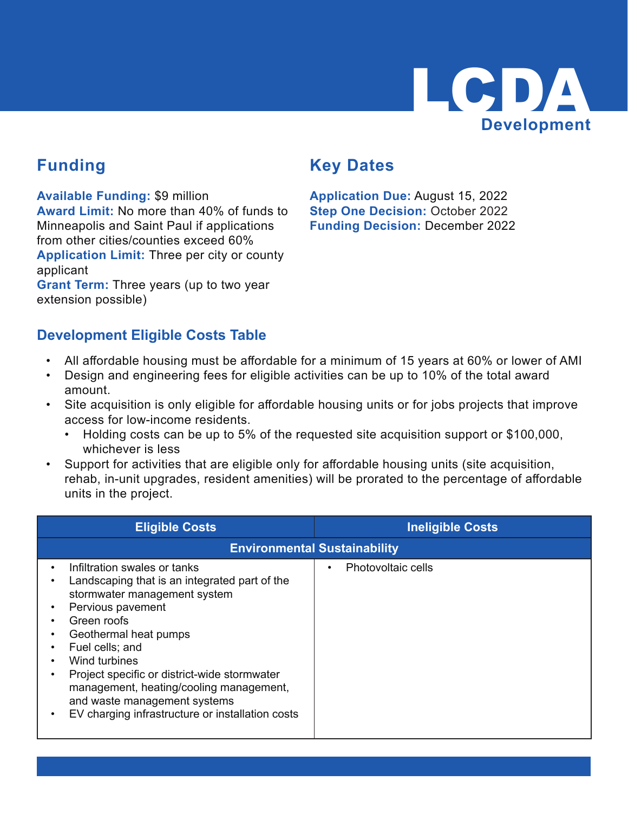

#### **Funding**

**Available Funding:** \$9 million

**Award Limit:** No more than 40% of funds to Minneapolis and Saint Paul if applications from other cities/counties exceed 60% **Application Limit:** Three per city or county applicant

**Grant Term:** Three years (up to two year extension possible)

#### **Key Dates**

**Application Due:** August 15, 2022 **Step One Decision: October 2022 Funding Decision:** December 2022

#### **Development Eligible Costs Table**

- All affordable housing must be affordable for a minimum of 15 years at 60% or lower of AMI
- Design and engineering fees for eligible activities can be up to 10% of the total award amount.
- Site acquisition is only eligible for affordable housing units or for jobs projects that improve access for low-income residents.
	- Holding costs can be up to 5% of the requested site acquisition support or \$100,000, whichever is less
- Support for activities that are eligible only for affordable housing units (site acquisition, rehab, in-unit upgrades, resident amenities) will be prorated to the percentage of affordable units in the project.

| <b>Eligible Costs</b>                                                                                                                                                                                                                                                                                                                                                                         | <b>Ineligible Costs</b>         |  |  |  |  |
|-----------------------------------------------------------------------------------------------------------------------------------------------------------------------------------------------------------------------------------------------------------------------------------------------------------------------------------------------------------------------------------------------|---------------------------------|--|--|--|--|
| <b>Environmental Sustainability</b>                                                                                                                                                                                                                                                                                                                                                           |                                 |  |  |  |  |
| Infiltration swales or tanks<br>Landscaping that is an integrated part of the<br>stormwater management system<br>Pervious pavement<br>Green roofs<br>Geothermal heat pumps<br>Fuel cells; and<br>Wind turbines<br>Project specific or district-wide stormwater<br>management, heating/cooling management,<br>and waste management systems<br>EV charging infrastructure or installation costs | Photovoltaic cells<br>$\bullet$ |  |  |  |  |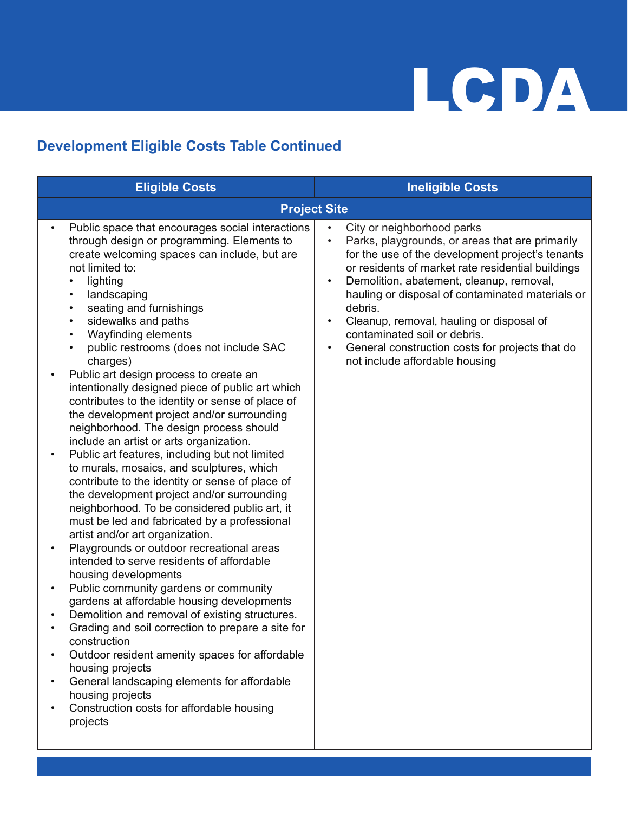#### **Development Eligible Costs Table Continued**

| <b>Eligible Costs</b>                                                                                                                                                                                                                                                                                                                                                                                                                                                                                                                                                                                                                                                                                                                                                                                                                                                                                                                                                                                                                                                                                                                                                                                                                                                                                                                                                                                                                                                                                                                                                                                                                               | <b>Ineligible Costs</b>                                                                                                                                                                                                                                                                                                                                                                                                                                                                                                             |
|-----------------------------------------------------------------------------------------------------------------------------------------------------------------------------------------------------------------------------------------------------------------------------------------------------------------------------------------------------------------------------------------------------------------------------------------------------------------------------------------------------------------------------------------------------------------------------------------------------------------------------------------------------------------------------------------------------------------------------------------------------------------------------------------------------------------------------------------------------------------------------------------------------------------------------------------------------------------------------------------------------------------------------------------------------------------------------------------------------------------------------------------------------------------------------------------------------------------------------------------------------------------------------------------------------------------------------------------------------------------------------------------------------------------------------------------------------------------------------------------------------------------------------------------------------------------------------------------------------------------------------------------------------|-------------------------------------------------------------------------------------------------------------------------------------------------------------------------------------------------------------------------------------------------------------------------------------------------------------------------------------------------------------------------------------------------------------------------------------------------------------------------------------------------------------------------------------|
|                                                                                                                                                                                                                                                                                                                                                                                                                                                                                                                                                                                                                                                                                                                                                                                                                                                                                                                                                                                                                                                                                                                                                                                                                                                                                                                                                                                                                                                                                                                                                                                                                                                     | <b>Project Site</b>                                                                                                                                                                                                                                                                                                                                                                                                                                                                                                                 |
| Public space that encourages social interactions<br>$\bullet$<br>through design or programming. Elements to<br>create welcoming spaces can include, but are<br>not limited to:<br>lighting<br>$\bullet$<br>landscaping<br>$\bullet$<br>seating and furnishings<br>$\bullet$<br>sidewalks and paths<br>$\bullet$<br>Wayfinding elements<br>$\bullet$<br>public restrooms (does not include SAC<br>$\bullet$<br>charges)<br>Public art design process to create an<br>$\bullet$<br>intentionally designed piece of public art which<br>contributes to the identity or sense of place of<br>the development project and/or surrounding<br>neighborhood. The design process should<br>include an artist or arts organization.<br>Public art features, including but not limited<br>$\bullet$<br>to murals, mosaics, and sculptures, which<br>contribute to the identity or sense of place of<br>the development project and/or surrounding<br>neighborhood. To be considered public art, it<br>must be led and fabricated by a professional<br>artist and/or art organization.<br>Playgrounds or outdoor recreational areas<br>$\bullet$<br>intended to serve residents of affordable<br>housing developments<br>Public community gardens or community<br>$\bullet$<br>gardens at affordable housing developments<br>Demolition and removal of existing structures.<br>Grading and soil correction to prepare a site for<br>construction<br>Outdoor resident amenity spaces for affordable<br>housing projects<br>General landscaping elements for affordable<br>housing projects<br>Construction costs for affordable housing<br>$\bullet$<br>projects | City or neighborhood parks<br>$\bullet$<br>Parks, playgrounds, or areas that are primarily<br>$\bullet$<br>for the use of the development project's tenants<br>or residents of market rate residential buildings<br>Demolition, abatement, cleanup, removal,<br>$\bullet$<br>hauling or disposal of contaminated materials or<br>debris.<br>Cleanup, removal, hauling or disposal of<br>$\bullet$<br>contaminated soil or debris.<br>General construction costs for projects that do<br>$\bullet$<br>not include affordable housing |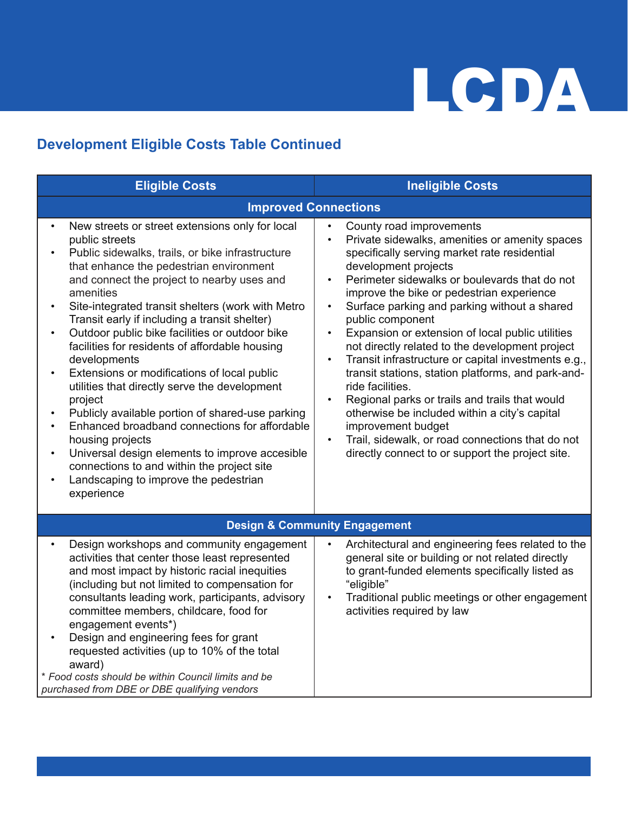#### **Development Eligible Costs Table Continued**

| <b>Eligible Costs</b>                                                                                                                                                                                                                                                                                                                                                                                                                                                                                                                                                                                                                                                                                                                                                                                                                                                                                                                                    | <b>Ineligible Costs</b>                                                                                                                                                                                                                                                                                                                                                                                                                                                                                                                                                                                                                                                                                                                                                                                                                                                     |
|----------------------------------------------------------------------------------------------------------------------------------------------------------------------------------------------------------------------------------------------------------------------------------------------------------------------------------------------------------------------------------------------------------------------------------------------------------------------------------------------------------------------------------------------------------------------------------------------------------------------------------------------------------------------------------------------------------------------------------------------------------------------------------------------------------------------------------------------------------------------------------------------------------------------------------------------------------|-----------------------------------------------------------------------------------------------------------------------------------------------------------------------------------------------------------------------------------------------------------------------------------------------------------------------------------------------------------------------------------------------------------------------------------------------------------------------------------------------------------------------------------------------------------------------------------------------------------------------------------------------------------------------------------------------------------------------------------------------------------------------------------------------------------------------------------------------------------------------------|
| <b>Improved Connections</b>                                                                                                                                                                                                                                                                                                                                                                                                                                                                                                                                                                                                                                                                                                                                                                                                                                                                                                                              |                                                                                                                                                                                                                                                                                                                                                                                                                                                                                                                                                                                                                                                                                                                                                                                                                                                                             |
| New streets or street extensions only for local<br>$\bullet$<br>public streets<br>Public sidewalks, trails, or bike infrastructure<br>$\bullet$<br>that enhance the pedestrian environment<br>and connect the project to nearby uses and<br>amenities<br>Site-integrated transit shelters (work with Metro<br>$\bullet$<br>Transit early if including a transit shelter)<br>Outdoor public bike facilities or outdoor bike<br>$\bullet$<br>facilities for residents of affordable housing<br>developments<br>Extensions or modifications of local public<br>$\bullet$<br>utilities that directly serve the development<br>project<br>Publicly available portion of shared-use parking<br>Enhanced broadband connections for affordable<br>$\bullet$<br>housing projects<br>Universal design elements to improve accesible<br>$\bullet$<br>connections to and within the project site<br>Landscaping to improve the pedestrian<br>$\bullet$<br>experience | County road improvements<br>$\bullet$<br>Private sidewalks, amenities or amenity spaces<br>$\bullet$<br>specifically serving market rate residential<br>development projects<br>Perimeter sidewalks or boulevards that do not<br>$\bullet$<br>improve the bike or pedestrian experience<br>Surface parking and parking without a shared<br>$\bullet$<br>public component<br>Expansion or extension of local public utilities<br>$\bullet$<br>not directly related to the development project<br>Transit infrastructure or capital investments e.g.,<br>$\bullet$<br>transit stations, station platforms, and park-and-<br>ride facilities.<br>Regional parks or trails and trails that would<br>otherwise be included within a city's capital<br>improvement budget<br>Trail, sidewalk, or road connections that do not<br>directly connect to or support the project site. |
|                                                                                                                                                                                                                                                                                                                                                                                                                                                                                                                                                                                                                                                                                                                                                                                                                                                                                                                                                          | <b>Design &amp; Community Engagement</b>                                                                                                                                                                                                                                                                                                                                                                                                                                                                                                                                                                                                                                                                                                                                                                                                                                    |
| Design workshops and community engagement<br>activities that center those least represented<br>and most impact by historic racial inequities<br>(including but not limited to compensation for<br>consultants leading work, participants, advisory<br>committee members, childcare, food for<br>engagement events*)<br>Design and engineering fees for grant<br>$\bullet$<br>requested activities (up to 10% of the total<br>award)<br>* Food costs should be within Council limits and be<br>purchased from DBE or DBE qualifying vendors                                                                                                                                                                                                                                                                                                                                                                                                               | Architectural and engineering fees related to the<br>general site or building or not related directly<br>to grant-funded elements specifically listed as<br>"eligible"<br>Traditional public meetings or other engagement<br>$\bullet$<br>activities required by law                                                                                                                                                                                                                                                                                                                                                                                                                                                                                                                                                                                                        |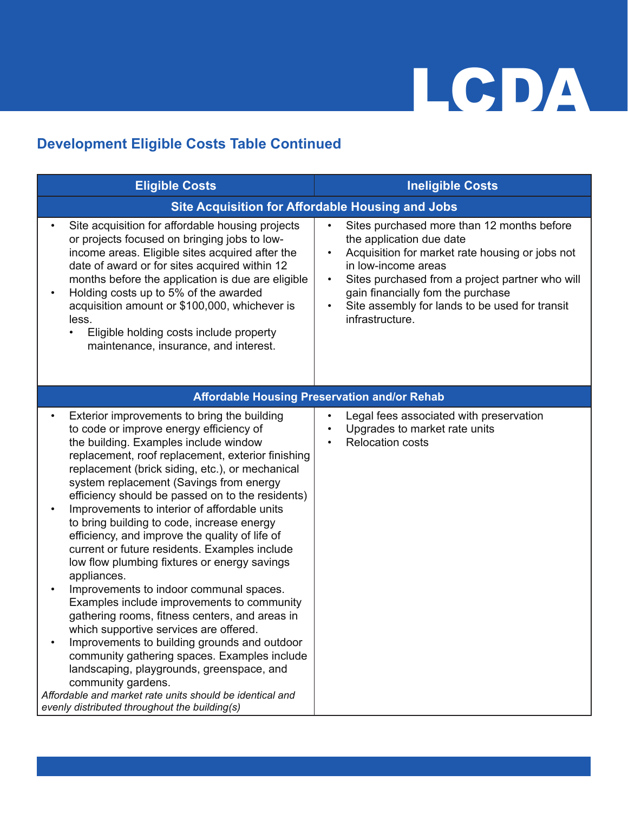#### **Development Eligible Costs Table Continued**

| <b>Eligible Costs</b>                                                                                                                                                                                                                                                                                                                                                                                                                                                                                                                                                                                                                                                                                                                                                                                                                                                                                                                                                                                                                                                                                 | <b>Ineligible Costs</b>                                                                                                                                                                                                                                                                                                                              |  |  |
|-------------------------------------------------------------------------------------------------------------------------------------------------------------------------------------------------------------------------------------------------------------------------------------------------------------------------------------------------------------------------------------------------------------------------------------------------------------------------------------------------------------------------------------------------------------------------------------------------------------------------------------------------------------------------------------------------------------------------------------------------------------------------------------------------------------------------------------------------------------------------------------------------------------------------------------------------------------------------------------------------------------------------------------------------------------------------------------------------------|------------------------------------------------------------------------------------------------------------------------------------------------------------------------------------------------------------------------------------------------------------------------------------------------------------------------------------------------------|--|--|
|                                                                                                                                                                                                                                                                                                                                                                                                                                                                                                                                                                                                                                                                                                                                                                                                                                                                                                                                                                                                                                                                                                       | <b>Site Acquisition for Affordable Housing and Jobs</b>                                                                                                                                                                                                                                                                                              |  |  |
| Site acquisition for affordable housing projects<br>$\bullet$<br>or projects focused on bringing jobs to low-<br>income areas. Eligible sites acquired after the<br>date of award or for sites acquired within 12<br>months before the application is due are eligible<br>Holding costs up to 5% of the awarded<br>$\bullet$<br>acquisition amount or \$100,000, whichever is<br>less.<br>Eligible holding costs include property<br>$\bullet$<br>maintenance, insurance, and interest.                                                                                                                                                                                                                                                                                                                                                                                                                                                                                                                                                                                                               | Sites purchased more than 12 months before<br>$\bullet$<br>the application due date<br>Acquisition for market rate housing or jobs not<br>in low-income areas<br>Sites purchased from a project partner who will<br>$\bullet$<br>gain financially fom the purchase<br>Site assembly for lands to be used for transit<br>$\bullet$<br>infrastructure. |  |  |
|                                                                                                                                                                                                                                                                                                                                                                                                                                                                                                                                                                                                                                                                                                                                                                                                                                                                                                                                                                                                                                                                                                       | <b>Affordable Housing Preservation and/or Rehab</b>                                                                                                                                                                                                                                                                                                  |  |  |
| Exterior improvements to bring the building<br>to code or improve energy efficiency of<br>the building. Examples include window<br>replacement, roof replacement, exterior finishing<br>replacement (brick siding, etc.), or mechanical<br>system replacement (Savings from energy<br>efficiency should be passed on to the residents)<br>Improvements to interior of affordable units<br>$\bullet$<br>to bring building to code, increase energy<br>efficiency, and improve the quality of life of<br>current or future residents. Examples include<br>low flow plumbing fixtures or energy savings<br>appliances.<br>Improvements to indoor communal spaces.<br>$\bullet$<br>Examples include improvements to community<br>gathering rooms, fitness centers, and areas in<br>which supportive services are offered.<br>Improvements to building grounds and outdoor<br>community gathering spaces. Examples include<br>landscaping, playgrounds, greenspace, and<br>community gardens.<br>Affordable and market rate units should be identical and<br>evenly distributed throughout the building(s) | Legal fees associated with preservation<br>Upgrades to market rate units<br>$\bullet$<br><b>Relocation costs</b><br>$\bullet$                                                                                                                                                                                                                        |  |  |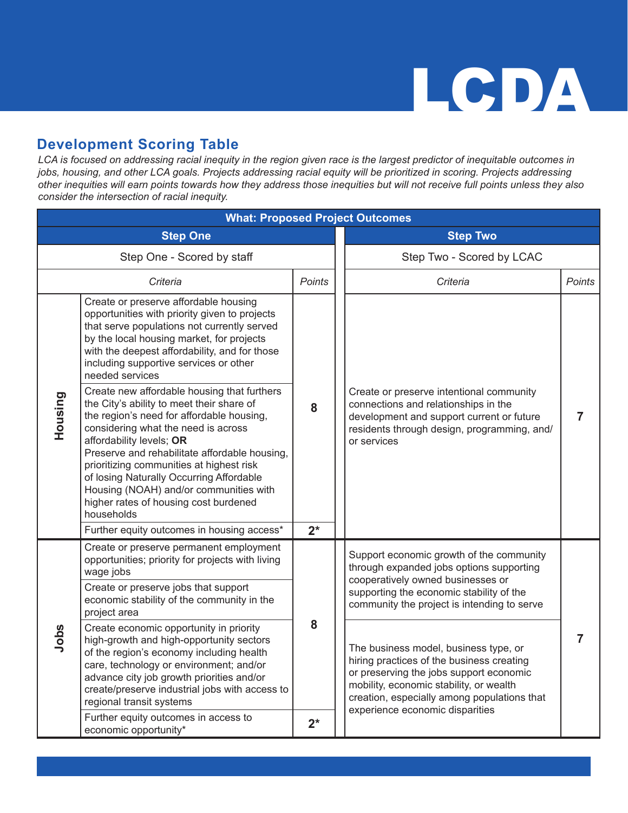#### **Development Scoring Table**

*LCA is focused on addressing racial inequity in the region given race is the largest predictor of inequitable outcomes in jobs, housing, and other LCA goals. Projects addressing racial equity will be prioritized in scoring. Projects addressing other inequities will earn points towards how they address those inequities but will not receive full points unless they also consider the intersection of racial inequity.*

| <b>What: Proposed Project Outcomes</b> |                                                                                                                                                                                                                                                                                                                                                                                                                                                    |        |                           |                                                                                                                                                                                                                                                            |        |  |  |
|----------------------------------------|----------------------------------------------------------------------------------------------------------------------------------------------------------------------------------------------------------------------------------------------------------------------------------------------------------------------------------------------------------------------------------------------------------------------------------------------------|--------|---------------------------|------------------------------------------------------------------------------------------------------------------------------------------------------------------------------------------------------------------------------------------------------------|--------|--|--|
| <b>Step One</b>                        |                                                                                                                                                                                                                                                                                                                                                                                                                                                    |        |                           | <b>Step Two</b>                                                                                                                                                                                                                                            |        |  |  |
| Step One - Scored by staff             |                                                                                                                                                                                                                                                                                                                                                                                                                                                    |        | Step Two - Scored by LCAC |                                                                                                                                                                                                                                                            |        |  |  |
|                                        | Criteria                                                                                                                                                                                                                                                                                                                                                                                                                                           | Points |                           | Criteria                                                                                                                                                                                                                                                   | Points |  |  |
|                                        | Create or preserve affordable housing<br>opportunities with priority given to projects<br>that serve populations not currently served<br>by the local housing market, for projects<br>with the deepest affordability, and for those<br>including supportive services or other<br>needed services                                                                                                                                                   |        |                           |                                                                                                                                                                                                                                                            |        |  |  |
| Housing                                | Create new affordable housing that furthers<br>the City's ability to meet their share of<br>the region's need for affordable housing,<br>considering what the need is across<br>affordability levels; OR<br>Preserve and rehabilitate affordable housing,<br>prioritizing communities at highest risk<br>of losing Naturally Occurring Affordable<br>Housing (NOAH) and/or communities with<br>higher rates of housing cost burdened<br>households | 8      |                           | Create or preserve intentional community<br>connections and relationships in the<br>development and support current or future<br>residents through design, programming, and/<br>or services                                                                | 7      |  |  |
|                                        | Further equity outcomes in housing access*                                                                                                                                                                                                                                                                                                                                                                                                         | $2^*$  |                           |                                                                                                                                                                                                                                                            |        |  |  |
| wage jobs<br>project area<br>Jobs      | Create or preserve permanent employment<br>opportunities; priority for projects with living                                                                                                                                                                                                                                                                                                                                                        |        |                           | Support economic growth of the community<br>through expanded jobs options supporting                                                                                                                                                                       |        |  |  |
|                                        | Create or preserve jobs that support<br>economic stability of the community in the                                                                                                                                                                                                                                                                                                                                                                 |        |                           | cooperatively owned businesses or<br>supporting the economic stability of the<br>community the project is intending to serve                                                                                                                               |        |  |  |
|                                        | Create economic opportunity in priority<br>high-growth and high-opportunity sectors<br>of the region's economy including health<br>care, technology or environment; and/or<br>advance city job growth priorities and/or<br>create/preserve industrial jobs with access to<br>regional transit systems                                                                                                                                              | 8      |                           | The business model, business type, or<br>hiring practices of the business creating<br>or preserving the jobs support economic<br>mobility, economic stability, or wealth<br>creation, especially among populations that<br>experience economic disparities | 7      |  |  |
|                                        | Further equity outcomes in access to<br>economic opportunity*                                                                                                                                                                                                                                                                                                                                                                                      | $2^*$  |                           |                                                                                                                                                                                                                                                            |        |  |  |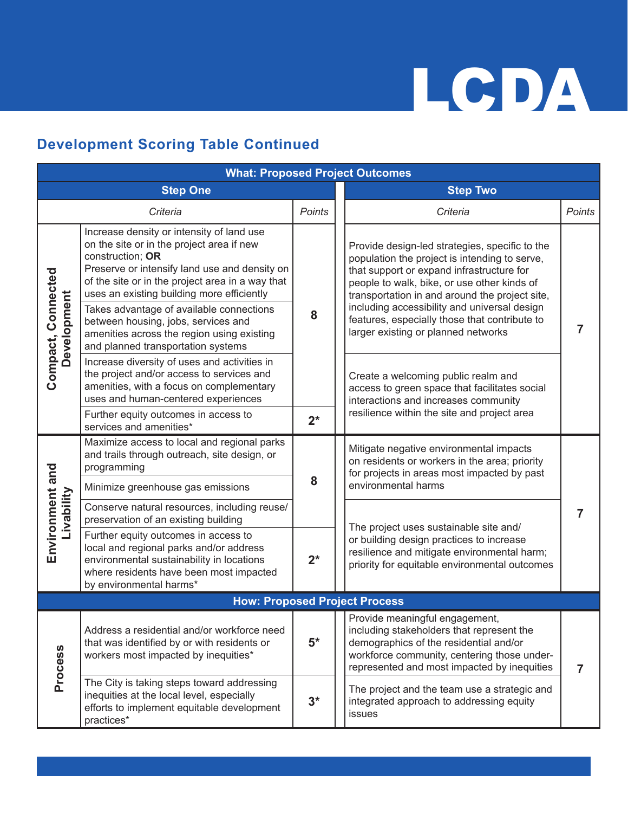#### **Development Scoring Table Continued**

| <b>What: Proposed Project Outcomes</b> |                                                                                                                                                                                                                                                               |               |                                                                                                                                                                                                                                                                                                                                                                                       |                                                                                                                                                                                   |               |  |
|----------------------------------------|---------------------------------------------------------------------------------------------------------------------------------------------------------------------------------------------------------------------------------------------------------------|---------------|---------------------------------------------------------------------------------------------------------------------------------------------------------------------------------------------------------------------------------------------------------------------------------------------------------------------------------------------------------------------------------------|-----------------------------------------------------------------------------------------------------------------------------------------------------------------------------------|---------------|--|
| <b>Step One</b>                        |                                                                                                                                                                                                                                                               |               | <b>Step Two</b>                                                                                                                                                                                                                                                                                                                                                                       |                                                                                                                                                                                   |               |  |
|                                        | Criteria                                                                                                                                                                                                                                                      | <b>Points</b> |                                                                                                                                                                                                                                                                                                                                                                                       | Criteria                                                                                                                                                                          | <b>Points</b> |  |
|                                        | Increase density or intensity of land use<br>on the site or in the project area if new<br>construction; OR<br>Preserve or intensify land use and density on<br>of the site or in the project area in a way that<br>uses an existing building more efficiently |               | Provide design-led strategies, specific to the<br>population the project is intending to serve,<br>that support or expand infrastructure for<br>people to walk, bike, or use other kinds of<br>transportation in and around the project site,<br>including accessibility and universal design<br>features, especially those that contribute to<br>larger existing or planned networks |                                                                                                                                                                                   |               |  |
| Compact, Connected<br>Development      | Takes advantage of available connections<br>between housing, jobs, services and<br>amenities across the region using existing<br>and planned transportation systems                                                                                           | 8             |                                                                                                                                                                                                                                                                                                                                                                                       | 7                                                                                                                                                                                 |               |  |
|                                        | Increase diversity of uses and activities in<br>the project and/or access to services and<br>amenities, with a focus on complementary<br>uses and human-centered experiences                                                                                  |               | Create a welcoming public realm and<br>interactions and increases community                                                                                                                                                                                                                                                                                                           | access to green space that facilitates social                                                                                                                                     |               |  |
|                                        | Further equity outcomes in access to<br>services and amenities*                                                                                                                                                                                               | $2^*$         | resilience within the site and project area                                                                                                                                                                                                                                                                                                                                           |                                                                                                                                                                                   |               |  |
|                                        | Maximize access to local and regional parks<br>and trails through outreach, site design, or<br>programming                                                                                                                                                    | 8             |                                                                                                                                                                                                                                                                                                                                                                                       | Mitigate negative environmental impacts<br>on residents or workers in the area; priority<br>for projects in areas most impacted by past                                           |               |  |
|                                        | Minimize greenhouse gas emissions                                                                                                                                                                                                                             |               | environmental harms                                                                                                                                                                                                                                                                                                                                                                   |                                                                                                                                                                                   |               |  |
| Livability                             | Conserve natural resources, including reuse/<br>preservation of an existing building                                                                                                                                                                          |               | The project uses sustainable site and/                                                                                                                                                                                                                                                                                                                                                |                                                                                                                                                                                   |               |  |
| Environment and                        | Further equity outcomes in access to<br>local and regional parks and/or address<br>environmental sustainability in locations<br>where residents have been most impacted<br>by environmental harms*                                                            | $2^*$         |                                                                                                                                                                                                                                                                                                                                                                                       | or building design practices to increase<br>resilience and mitigate environmental harm;<br>priority for equitable environmental outcomes                                          |               |  |
|                                        | <b>How: Proposed Project Process</b>                                                                                                                                                                                                                          |               |                                                                                                                                                                                                                                                                                                                                                                                       |                                                                                                                                                                                   |               |  |
| Process                                | Address a residential and/or workforce need<br>that was identified by or with residents or<br>workers most impacted by inequities*                                                                                                                            | $5*$          | Provide meaningful engagement,                                                                                                                                                                                                                                                                                                                                                        | including stakeholders that represent the<br>demographics of the residential and/or<br>workforce community, centering those under-<br>represented and most impacted by inequities |               |  |
|                                        | The City is taking steps toward addressing<br>inequities at the local level, especially<br>efforts to implement equitable development<br>practices*                                                                                                           | $3^*$         | <b>issues</b>                                                                                                                                                                                                                                                                                                                                                                         | The project and the team use a strategic and<br>integrated approach to addressing equity                                                                                          |               |  |